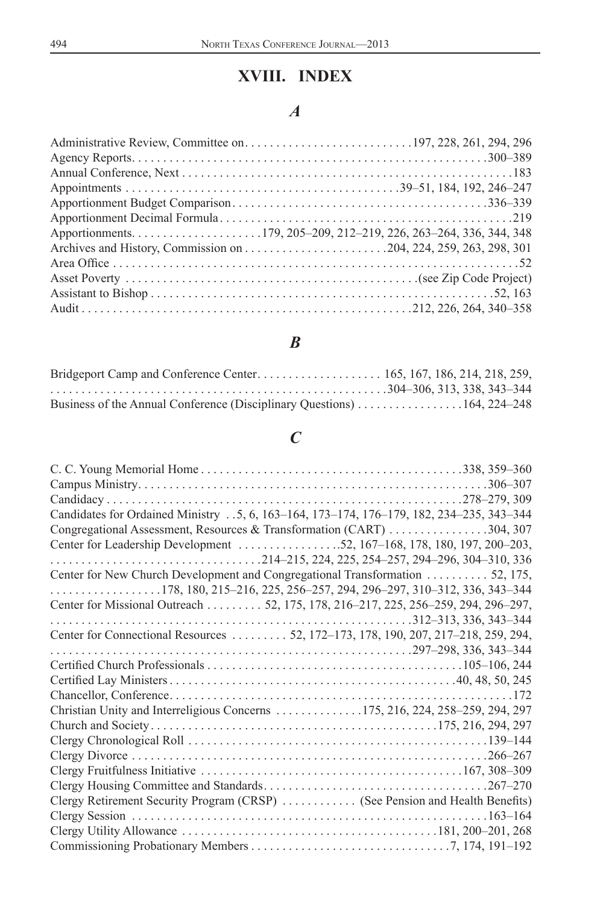# **XVIII. INDEX**

## *A*

#### *B*

| Business of the Annual Conference (Disciplinary Questions) 164, 224–248 |  |
|-------------------------------------------------------------------------|--|

## *C*

| Candidates for Ordained Ministry 5, 6, 163–164, 173–174, 176–179, 182, 234–235, 343–344 |  |
|-----------------------------------------------------------------------------------------|--|
| Congregational Assessment, Resources & Transformation (CART) 304, 307                   |  |
| Center for Leadership Development 52, 167–168, 178, 180, 197, 200–203,                  |  |
|                                                                                         |  |
| Center for New Church Development and Congregational Transformation 52, 175,            |  |
|                                                                                         |  |
| Center for Missional Outreach 52, 175, 178, 216–217, 225, 256–259, 294, 296–297,        |  |
|                                                                                         |  |
| Center for Connectional Resources 52, 172-173, 178, 190, 207, 217-218, 259, 294,        |  |
|                                                                                         |  |
|                                                                                         |  |
|                                                                                         |  |
|                                                                                         |  |
| Christian Unity and Interreligious Concerns 175, 216, 224, 258–259, 294, 297            |  |
|                                                                                         |  |
|                                                                                         |  |
|                                                                                         |  |
|                                                                                         |  |
|                                                                                         |  |
| Clergy Retirement Security Program (CRSP)  (See Pension and Health Benefits)            |  |
|                                                                                         |  |
|                                                                                         |  |
|                                                                                         |  |
|                                                                                         |  |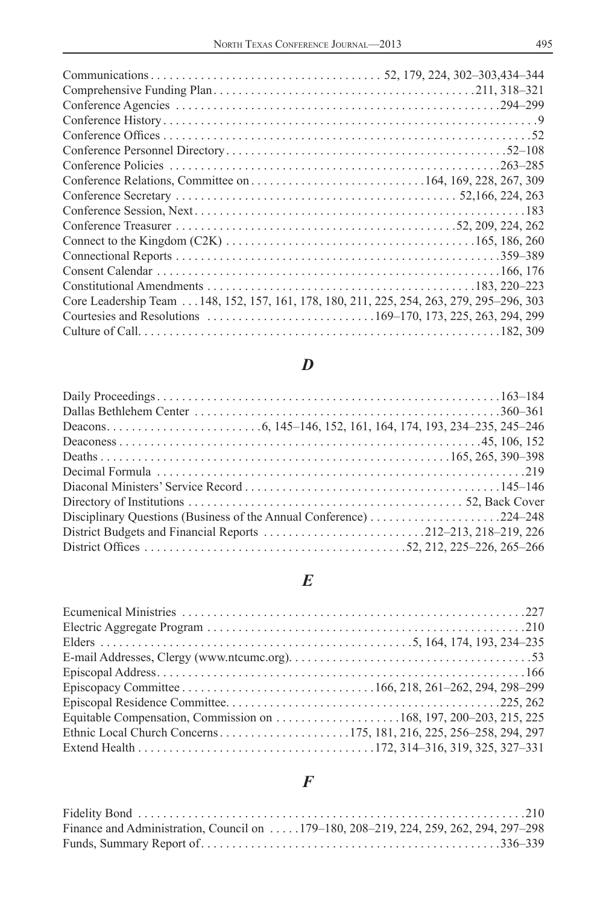| Core Leadership Team 148, 152, 157, 161, 178, 180, 211, 225, 254, 263, 279, 295–296, 303 |  |
|------------------------------------------------------------------------------------------|--|
|                                                                                          |  |
|                                                                                          |  |

#### *D*

# *E*

### *F*

| Finance and Administration, Council on  179–180, 208–219, 224, 259, 262, 294, 297–298 |
|---------------------------------------------------------------------------------------|
|                                                                                       |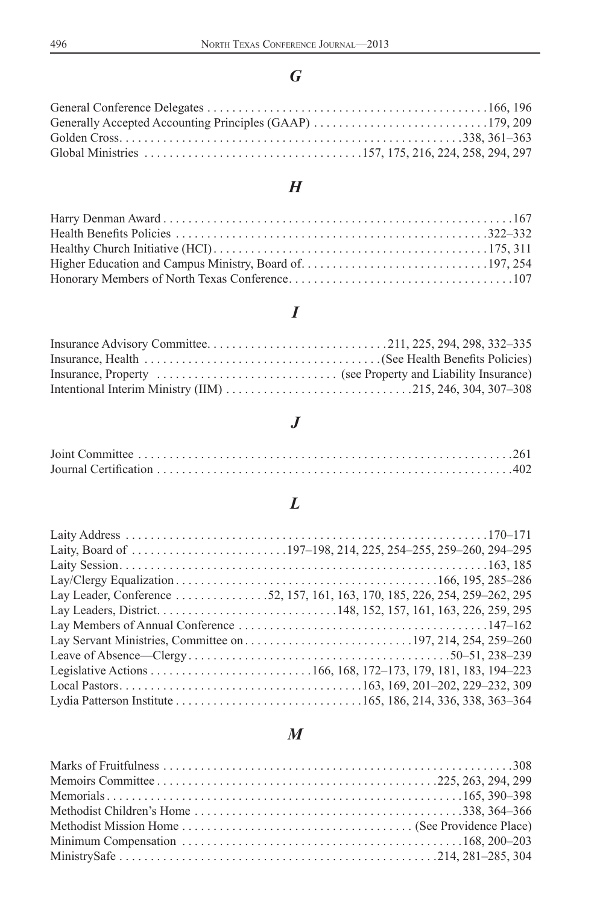# *G*

## *H*

# *I*

#### *J*

## *L*

| Lay Leader, Conference 52, 157, 161, 163, 170, 185, 226, 254, 259–262, 295 |  |
|----------------------------------------------------------------------------|--|
|                                                                            |  |
|                                                                            |  |
|                                                                            |  |
|                                                                            |  |
|                                                                            |  |
|                                                                            |  |
|                                                                            |  |

## *M*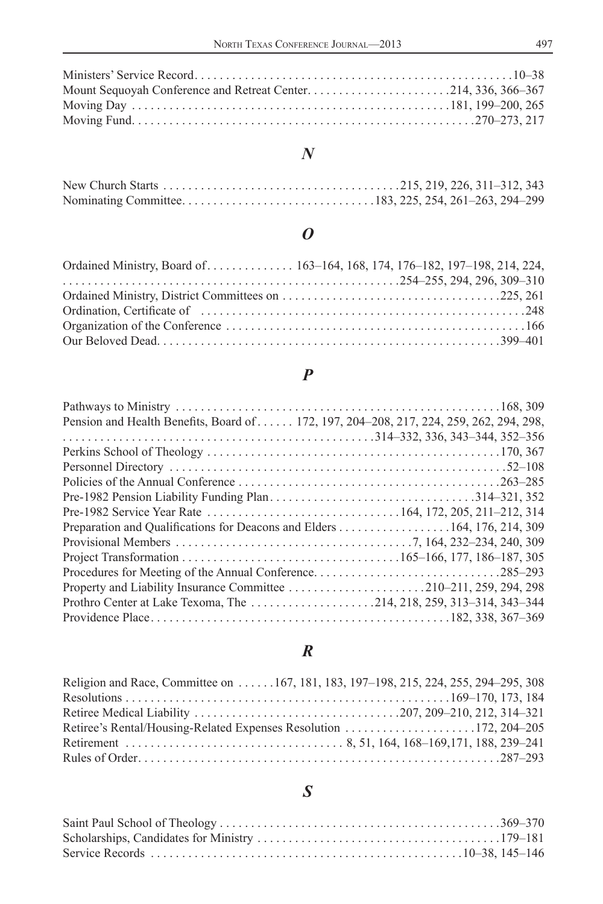#### *N*

#### *O*

| Ordained Ministry, Board of 163–164, 168, 174, 176–182, 197–198, 214, 224, |
|----------------------------------------------------------------------------|
|                                                                            |
|                                                                            |
|                                                                            |
|                                                                            |
|                                                                            |

## *P*

| Pension and Health Benefits, Board of 172, 197, 204–208, 217, 224, 259, 262, 294, 298, |  |
|----------------------------------------------------------------------------------------|--|
|                                                                                        |  |
|                                                                                        |  |
|                                                                                        |  |
|                                                                                        |  |
|                                                                                        |  |
|                                                                                        |  |
| Preparation and Qualifications for Deacons and Elders 164, 176, 214, 309               |  |
|                                                                                        |  |
|                                                                                        |  |
|                                                                                        |  |
|                                                                                        |  |
|                                                                                        |  |
|                                                                                        |  |

## *R*

| Religion and Race, Committee on 167, 181, 183, 197–198, 215, 224, 255, 294–295, 308 |  |
|-------------------------------------------------------------------------------------|--|
|                                                                                     |  |
|                                                                                     |  |
|                                                                                     |  |
|                                                                                     |  |
|                                                                                     |  |

# *S*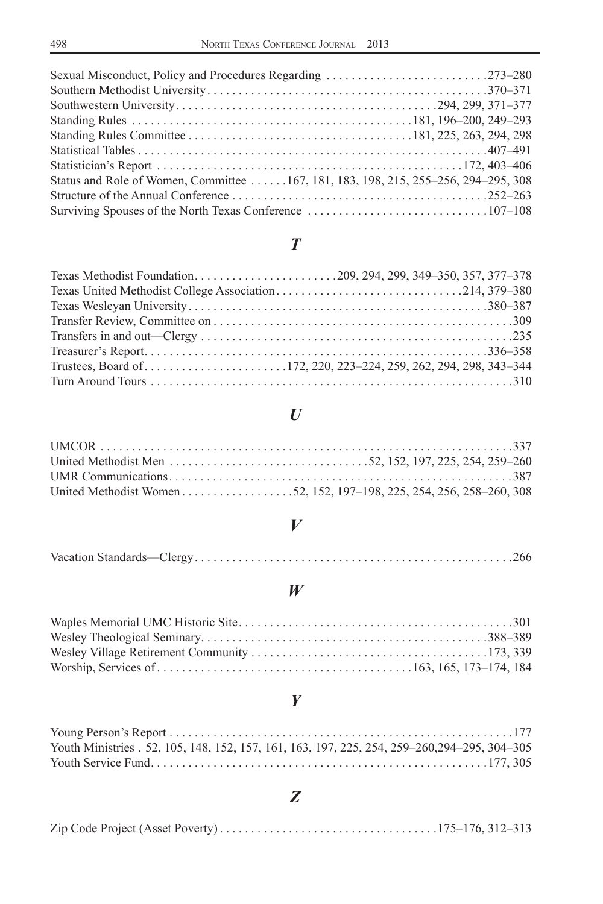| Status and Role of Women, Committee 167, 181, 183, 198, 215, 255–256, 294–295, 308 |  |
|------------------------------------------------------------------------------------|--|
|                                                                                    |  |
|                                                                                    |  |
|                                                                                    |  |

## *T*

### *U*

#### *V*

|--|--|--|--|--|--|

#### *W*

# *Y*

| Youth Ministries . 52, 105, 148, 152, 157, 161, 163, 197, 225, 254, 259–260, 294–295, 304–305 |  |
|-----------------------------------------------------------------------------------------------|--|
|                                                                                               |  |

# *Z*

|--|--|--|--|